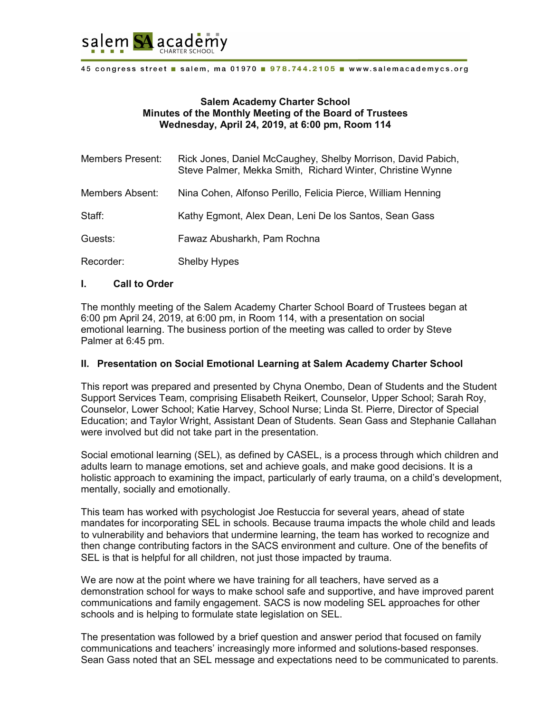

45 congress street salem, ma 01970 978.744.2105 www.salemacademycs.org

#### **Salem Academy Charter School Minutes of the Monthly Meeting of the Board of Trustees Wednesday, April 24, 2019, at 6:00 pm, Room 114**

| <b>Members Present:</b> | Rick Jones, Daniel McCaughey, Shelby Morrison, David Pabich,<br>Steve Palmer, Mekka Smith, Richard Winter, Christine Wynne |
|-------------------------|----------------------------------------------------------------------------------------------------------------------------|
| Members Absent:         | Nina Cohen, Alfonso Perillo, Felicia Pierce, William Henning                                                               |
| Staff:                  | Kathy Egmont, Alex Dean, Leni De los Santos, Sean Gass                                                                     |
| Guests:                 | Fawaz Abusharkh, Pam Rochna                                                                                                |
| Recorder:               | <b>Shelby Hypes</b>                                                                                                        |

#### **I. Call to Order**

The monthly meeting of the Salem Academy Charter School Board of Trustees began at 6:00 pm April 24, 2019, at 6:00 pm, in Room 114, with a presentation on social emotional learning. The business portion of the meeting was called to order by Steve Palmer at 6:45 pm.

#### **II. Presentation on Social Emotional Learning at Salem Academy Charter School**

This report was prepared and presented by Chyna Onembo, Dean of Students and the Student Support Services Team, comprising Elisabeth Reikert, Counselor, Upper School; Sarah Roy, Counselor, Lower School; Katie Harvey, School Nurse; Linda St. Pierre, Director of Special Education; and Taylor Wright, Assistant Dean of Students. Sean Gass and Stephanie Callahan were involved but did not take part in the presentation.

Social emotional learning (SEL), as defined by CASEL, is a process through which children and adults learn to manage emotions, set and achieve goals, and make good decisions. It is a holistic approach to examining the impact, particularly of early trauma, on a child's development, mentally, socially and emotionally.

This team has worked with psychologist Joe Restuccia for several years, ahead of state mandates for incorporating SEL in schools. Because trauma impacts the whole child and leads to vulnerability and behaviors that undermine learning, the team has worked to recognize and then change contributing factors in the SACS environment and culture. One of the benefits of SEL is that is helpful for all children, not just those impacted by trauma.

We are now at the point where we have training for all teachers, have served as a demonstration school for ways to make school safe and supportive, and have improved parent communications and family engagement. SACS is now modeling SEL approaches for other schools and is helping to formulate state legislation on SEL.

The presentation was followed by a brief question and answer period that focused on family communications and teachers' increasingly more informed and solutions-based responses. Sean Gass noted that an SEL message and expectations need to be communicated to parents.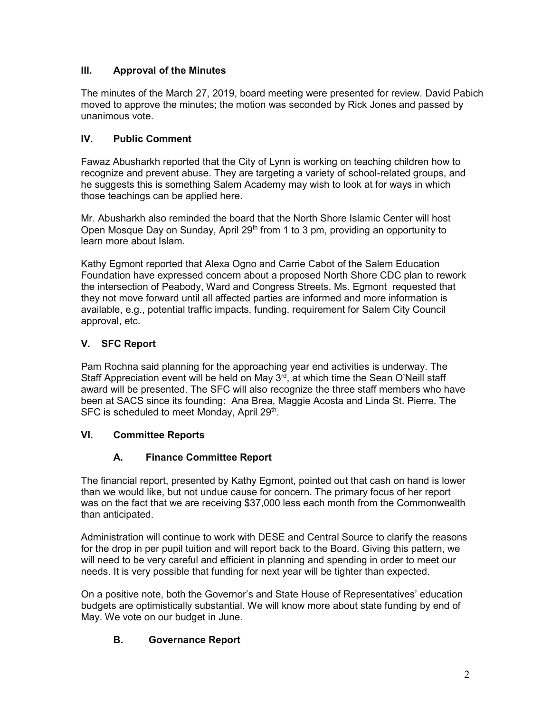## **III. Approval of the Minutes**

The minutes of the March 27, 2019, board meeting were presented for review. David Pabich moved to approve the minutes; the motion was seconded by Rick Jones and passed by unanimous vote.

### **IV. Public Comment**

Fawaz Abusharkh reported that the City of Lynn is working on teaching children how to recognize and prevent abuse. They are targeting a variety of school-related groups, and he suggests this is something Salem Academy may wish to look at for ways in which those teachings can be applied here.

Mr. Abusharkh also reminded the board that the North Shore Islamic Center will host Open Mosque Day on Sunday, April 29<sup>th</sup> from 1 to 3 pm, providing an opportunity to learn more about Islam.

Kathy Egmont reported that Alexa Ogno and Carrie Cabot of the Salem Education Foundation have expressed concern about a proposed North Shore CDC plan to rework the intersection of Peabody, Ward and Congress Streets. Ms. Egmont requested that they not move forward until all affected parties are informed and more information is available, e.g., potential traffic impacts, funding, requirement for Salem City Council approval, etc.

### **V***.* **SFC Report**

Pam Rochna said planning for the approaching year end activities is underway. The Staff Appreciation event will be held on May  $3<sup>rd</sup>$ , at which time the Sean O'Neill staff award will be presented. The SFC will also recognize the three staff members who have been at SACS since its founding: Ana Brea, Maggie Acosta and Linda St. Pierre. The SFC is scheduled to meet Monday, April 29<sup>th</sup>.

#### **VI. Committee Reports**

## **A. Finance Committee Report**

The financial report, presented by Kathy Egmont, pointed out that cash on hand is lower than we would like, but not undue cause for concern. The primary focus of her report was on the fact that we are receiving \$37,000 less each month from the Commonwealth than anticipated.

Administration will continue to work with DESE and Central Source to clarify the reasons for the drop in per pupil tuition and will report back to the Board. Giving this pattern, we will need to be very careful and efficient in planning and spending in order to meet our needs. It is very possible that funding for next year will be tighter than expected.

On a positive note, both the Governor's and State House of Representatives' education budgets are optimistically substantial. We will know more about state funding by end of May. We vote on our budget in June.

## **B. Governance Report**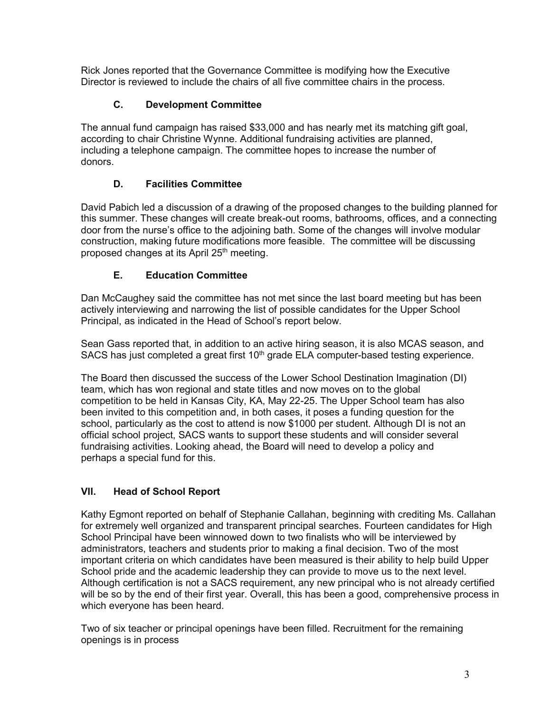Rick Jones reported that the Governance Committee is modifying how the Executive Director is reviewed to include the chairs of all five committee chairs in the process.

## **C. Development Committee**

The annual fund campaign has raised \$33,000 and has nearly met its matching gift goal, according to chair Christine Wynne. Additional fundraising activities are planned, including a telephone campaign. The committee hopes to increase the number of donors.

# **D. Facilities Committee**

David Pabich led a discussion of a drawing of the proposed changes to the building planned for this summer. These changes will create break-out rooms, bathrooms, offices, and a connecting door from the nurse's office to the adjoining bath. Some of the changes will involve modular construction, making future modifications more feasible. The committee will be discussing proposed changes at its April 25<sup>th</sup> meeting.

# **E. Education Committee**

Dan McCaughey said the committee has not met since the last board meeting but has been actively interviewing and narrowing the list of possible candidates for the Upper School Principal, as indicated in the Head of School's report below.

Sean Gass reported that, in addition to an active hiring season, it is also MCAS season, and SACS has just completed a great first  $10<sup>th</sup>$  grade ELA computer-based testing experience.

The Board then discussed the success of the Lower School Destination Imagination (DI) team, which has won regional and state titles and now moves on to the global competition to be held in Kansas City, KA, May 22-25. The Upper School team has also been invited to this competition and, in both cases, it poses a funding question for the school, particularly as the cost to attend is now \$1000 per student. Although DI is not an official school project, SACS wants to support these students and will consider several fundraising activities. Looking ahead, the Board will need to develop a policy and perhaps a special fund for this.

# **VII. Head of School Report**

Kathy Egmont reported on behalf of Stephanie Callahan, beginning with crediting Ms. Callahan for extremely well organized and transparent principal searches. Fourteen candidates for High School Principal have been winnowed down to two finalists who will be interviewed by administrators, teachers and students prior to making a final decision. Two of the most important criteria on which candidates have been measured is their ability to help build Upper School pride and the academic leadership they can provide to move us to the next level. Although certification is not a SACS requirement, any new principal who is not already certified will be so by the end of their first year. Overall, this has been a good, comprehensive process in which everyone has been heard.

Two of six teacher or principal openings have been filled. Recruitment for the remaining openings is in process